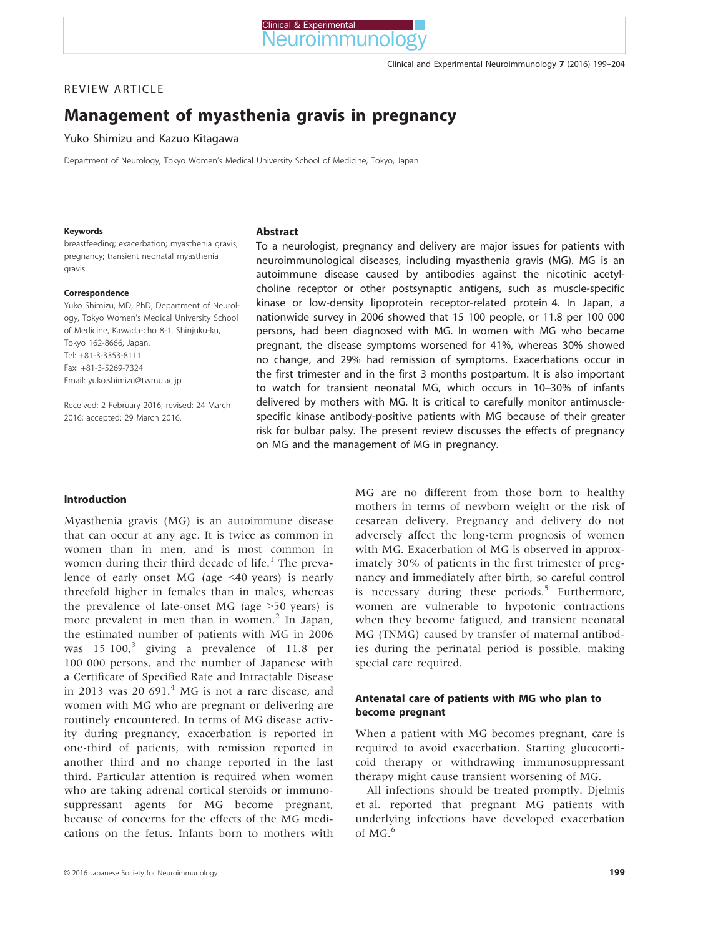# REVIEW ARTICLE

# Management of myasthenia gravis in pregnancy

Yuko Shimizu and Kazuo Kitagawa

Department of Neurology, Tokyo Women's Medical University School of Medicine, Tokyo, Japan

#### Keywords

breastfeeding; exacerbation; myasthenia gravis; pregnancy; transient neonatal myasthenia gravis

#### Correspondence

Yuko Shimizu, MD, PhD, Department of Neurology, Tokyo Women's Medical University School of Medicine, Kawada-cho 8-1, Shinjuku-ku, Tokyo 162-8666, Japan. Tel: +81-3-3353-8111 Fax: +81-3-5269-7324 Email: yuko.shimizu@twmu.ac.jp

Received: 2 February 2016; revised: 24 March 2016; accepted: 29 March 2016.

#### Abstract

To a neurologist, pregnancy and delivery are major issues for patients with neuroimmunological diseases, including myasthenia gravis (MG). MG is an autoimmune disease caused by antibodies against the nicotinic acetylcholine receptor or other postsynaptic antigens, such as muscle-specific kinase or low-density lipoprotein receptor-related protein 4. In Japan, a nationwide survey in 2006 showed that 15 100 people, or 11.8 per 100 000 persons, had been diagnosed with MG. In women with MG who became pregnant, the disease symptoms worsened for 41%, whereas 30% showed no change, and 29% had remission of symptoms. Exacerbations occur in the first trimester and in the first 3 months postpartum. It is also important to watch for transient neonatal MG, which occurs in 10–30% of infants delivered by mothers with MG. It is critical to carefully monitor antimusclespecific kinase antibody-positive patients with MG because of their greater risk for bulbar palsy. The present review discusses the effects of pregnancy on MG and the management of MG in pregnancy.

#### Introduction

Myasthenia gravis (MG) is an autoimmune disease that can occur at any age. It is twice as common in women than in men, and is most common in women during their third decade of life. $<sup>1</sup>$  The preva-</sup> lence of early onset MG (age <40 years) is nearly threefold higher in females than in males, whereas the prevalence of late-onset MG (age >50 years) is more prevalent in men than in women. $^2$  In Japan, the estimated number of patients with MG in 2006 was  $15 \times 100$ ,<sup>3</sup> giving a prevalence of 11.8 per 100 000 persons, and the number of Japanese with a Certificate of Specified Rate and Intractable Disease in 2013 was 20 691.<sup>4</sup> MG is not a rare disease, and women with MG who are pregnant or delivering are routinely encountered. In terms of MG disease activity during pregnancy, exacerbation is reported in one-third of patients, with remission reported in another third and no change reported in the last third. Particular attention is required when women who are taking adrenal cortical steroids or immunosuppressant agents for MG become pregnant, because of concerns for the effects of the MG medications on the fetus. Infants born to mothers with

MG are no different from those born to healthy mothers in terms of newborn weight or the risk of cesarean delivery. Pregnancy and delivery do not adversely affect the long-term prognosis of women with MG. Exacerbation of MG is observed in approximately 30% of patients in the first trimester of pregnancy and immediately after birth, so careful control is necessary during these periods.<sup>5</sup> Furthermore, women are vulnerable to hypotonic contractions when they become fatigued, and transient neonatal MG (TNMG) caused by transfer of maternal antibodies during the perinatal period is possible, making special care required.

## Antenatal care of patients with MG who plan to become pregnant

When a patient with MG becomes pregnant, care is required to avoid exacerbation. Starting glucocorticoid therapy or withdrawing immunosuppressant therapy might cause transient worsening of MG.

All infections should be treated promptly. Djelmis et al. reported that pregnant MG patients with underlying infections have developed exacerbation of MG.<sup>6</sup>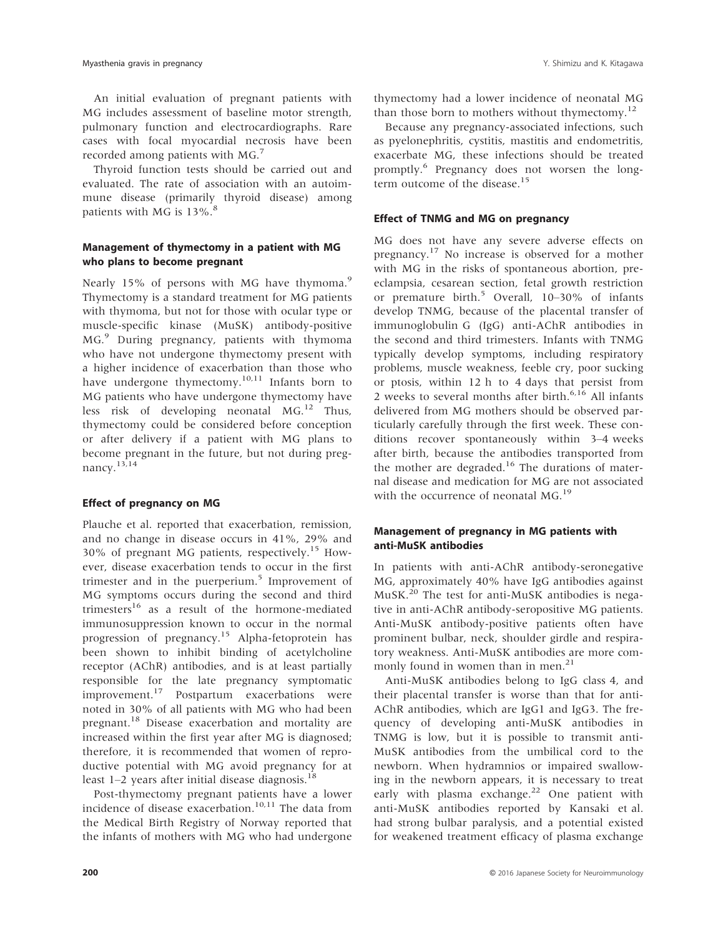An initial evaluation of pregnant patients with MG includes assessment of baseline motor strength, pulmonary function and electrocardiographs. Rare cases with focal myocardial necrosis have been recorded among patients with MG.<sup>7</sup>

Thyroid function tests should be carried out and evaluated. The rate of association with an autoimmune disease (primarily thyroid disease) among patients with MG is  $13\%$ .<sup>8</sup>

## Management of thymectomy in a patient with MG who plans to become pregnant

Nearly 15% of persons with MG have thymoma.<sup>9</sup> Thymectomy is a standard treatment for MG patients with thymoma, but not for those with ocular type or muscle-specific kinase (MuSK) antibody-positive MG.<sup>9</sup> During pregnancy, patients with thymoma who have not undergone thymectomy present with a higher incidence of exacerbation than those who have undergone thymectomy. $10,11$  Infants born to MG patients who have undergone thymectomy have less risk of developing neonatal MG.<sup>12</sup> Thus, thymectomy could be considered before conception or after delivery if a patient with MG plans to become pregnant in the future, but not during pregnancy.13,14

#### Effect of pregnancy on MG

Plauche et al. reported that exacerbation, remission, and no change in disease occurs in 41%, 29% and 30% of pregnant MG patients, respectively.<sup>15</sup> However, disease exacerbation tends to occur in the first trimester and in the puerperium.<sup>5</sup> Improvement of MG symptoms occurs during the second and third trimesters<sup>16</sup> as a result of the hormone-mediated immunosuppression known to occur in the normal progression of pregnancy.<sup>15</sup> Alpha-fetoprotein has been shown to inhibit binding of acetylcholine receptor (AChR) antibodies, and is at least partially responsible for the late pregnancy symptomatic improvement.<sup>17</sup> Postpartum exacerbations were noted in 30% of all patients with MG who had been pregnant.18 Disease exacerbation and mortality are increased within the first year after MG is diagnosed; therefore, it is recommended that women of reproductive potential with MG avoid pregnancy for at least  $1-2$  years after initial disease diagnosis.<sup>18</sup>

Post-thymectomy pregnant patients have a lower incidence of disease exacerbation.<sup>10,11</sup> The data from the Medical Birth Registry of Norway reported that the infants of mothers with MG who had undergone thymectomy had a lower incidence of neonatal MG than those born to mothers without thymectomy.<sup>12</sup>

Because any pregnancy-associated infections, such as pyelonephritis, cystitis, mastitis and endometritis, exacerbate MG, these infections should be treated promptly.6 Pregnancy does not worsen the longterm outcome of the disease.<sup>15</sup>

# Effect of TNMG and MG on pregnancy

MG does not have any severe adverse effects on pregnancy.<sup>17</sup> No increase is observed for a mother with MG in the risks of spontaneous abortion, preeclampsia, cesarean section, fetal growth restriction or premature birth.<sup>5</sup> Overall,  $10-30\%$  of infants develop TNMG, because of the placental transfer of immunoglobulin G (IgG) anti-AChR antibodies in the second and third trimesters. Infants with TNMG typically develop symptoms, including respiratory problems, muscle weakness, feeble cry, poor sucking or ptosis, within 12 h to 4 days that persist from 2 weeks to several months after birth. $6,16$  All infants delivered from MG mothers should be observed particularly carefully through the first week. These conditions recover spontaneously within 3–4 weeks after birth, because the antibodies transported from the mother are degraded.<sup>16</sup> The durations of maternal disease and medication for MG are not associated with the occurrence of neonatal MG.<sup>19</sup>

## Management of pregnancy in MG patients with anti-MuSK antibodies

In patients with anti-AChR antibody-seronegative MG, approximately 40% have IgG antibodies against MuSK.<sup>20</sup> The test for anti-MuSK antibodies is negative in anti-AChR antibody-seropositive MG patients. Anti-MuSK antibody-positive patients often have prominent bulbar, neck, shoulder girdle and respiratory weakness. Anti-MuSK antibodies are more commonly found in women than in men.<sup>21</sup>

Anti-MuSK antibodies belong to IgG class 4, and their placental transfer is worse than that for anti-AChR antibodies, which are IgG1 and IgG3. The frequency of developing anti-MuSK antibodies in TNMG is low, but it is possible to transmit anti-MuSK antibodies from the umbilical cord to the newborn. When hydramnios or impaired swallowing in the newborn appears, it is necessary to treat early with plasma exchange.<sup>22</sup> One patient with anti-MuSK antibodies reported by Kansaki et al. had strong bulbar paralysis, and a potential existed for weakened treatment efficacy of plasma exchange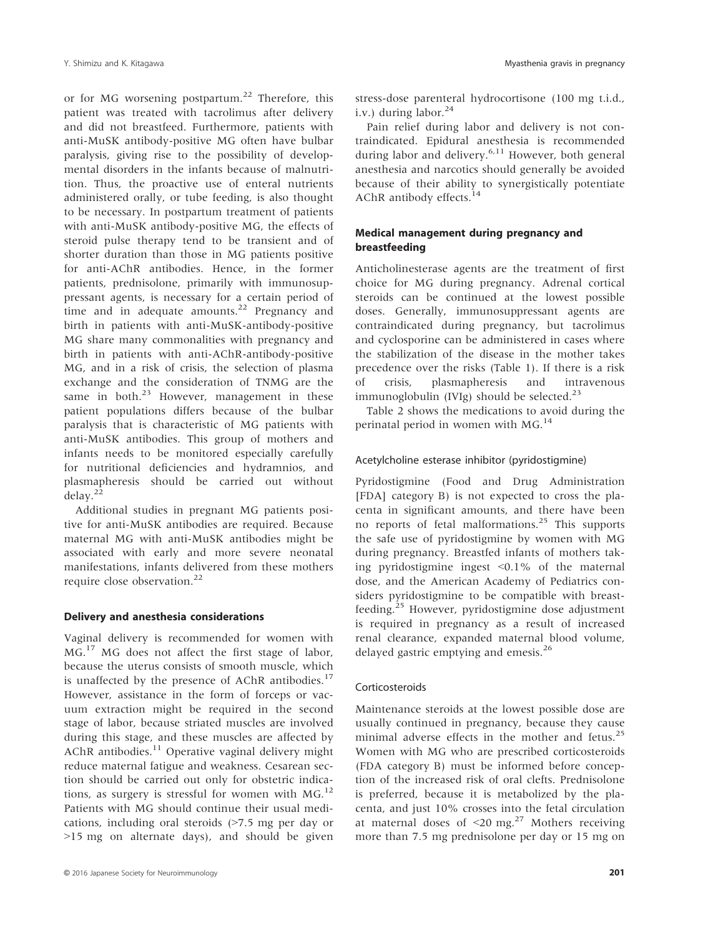or for MG worsening postpartum.<sup>22</sup> Therefore, this patient was treated with tacrolimus after delivery and did not breastfeed. Furthermore, patients with anti-MuSK antibody-positive MG often have bulbar paralysis, giving rise to the possibility of developmental disorders in the infants because of malnutrition. Thus, the proactive use of enteral nutrients administered orally, or tube feeding, is also thought to be necessary. In postpartum treatment of patients with anti-MuSK antibody-positive MG, the effects of steroid pulse therapy tend to be transient and of shorter duration than those in MG patients positive for anti-AChR antibodies. Hence, in the former patients, prednisolone, primarily with immunosuppressant agents, is necessary for a certain period of time and in adequate amounts.<sup>22</sup> Pregnancy and birth in patients with anti-MuSK-antibody-positive MG share many commonalities with pregnancy and birth in patients with anti-AChR-antibody-positive MG, and in a risk of crisis, the selection of plasma exchange and the consideration of TNMG are the same in both. $^{23}$  However, management in these patient populations differs because of the bulbar paralysis that is characteristic of MG patients with anti-MuSK antibodies. This group of mothers and infants needs to be monitored especially carefully for nutritional deficiencies and hydramnios, and plasmapheresis should be carried out without  $delay.<sup>22</sup>$ 

Additional studies in pregnant MG patients positive for anti-MuSK antibodies are required. Because maternal MG with anti-MuSK antibodies might be associated with early and more severe neonatal manifestations, infants delivered from these mothers require close observation.22

## Delivery and anesthesia considerations

Vaginal delivery is recommended for women with MG.<sup>17</sup> MG does not affect the first stage of labor, because the uterus consists of smooth muscle, which is unaffected by the presence of AChR antibodies. $^{17}$ However, assistance in the form of forceps or vacuum extraction might be required in the second stage of labor, because striated muscles are involved during this stage, and these muscles are affected by AChR antibodies.<sup>11</sup> Operative vaginal delivery might reduce maternal fatigue and weakness. Cesarean section should be carried out only for obstetric indications, as surgery is stressful for women with MG.<sup>12</sup> Patients with MG should continue their usual medications, including oral steroids (>7.5 mg per day or >15 mg on alternate days), and should be given

stress-dose parenteral hydrocortisone (100 mg t.i.d., i.v.) during labor. $24$ 

Pain relief during labor and delivery is not contraindicated. Epidural anesthesia is recommended during labor and delivery.<sup>6,11</sup> However, both general anesthesia and narcotics should generally be avoided because of their ability to synergistically potentiate AChR antibody effects.<sup>14</sup>

# Medical management during pregnancy and breastfeeding

Anticholinesterase agents are the treatment of first choice for MG during pregnancy. Adrenal cortical steroids can be continued at the lowest possible doses. Generally, immunosuppressant agents are contraindicated during pregnancy, but tacrolimus and cyclosporine can be administered in cases where the stabilization of the disease in the mother takes precedence over the risks (Table 1). If there is a risk of crisis, plasmapheresis and intravenous immunoglobulin (IVIg) should be selected. $^{23}$ 

Table 2 shows the medications to avoid during the perinatal period in women with  $MG<sub>14</sub>$ .

## Acetylcholine esterase inhibitor (pyridostigmine)

Pyridostigmine (Food and Drug Administration [FDA] category B) is not expected to cross the placenta in significant amounts, and there have been no reports of fetal malformations.25 This supports the safe use of pyridostigmine by women with MG during pregnancy. Breastfed infants of mothers taking pyridostigmine ingest <0.1% of the maternal dose, and the American Academy of Pediatrics considers pyridostigmine to be compatible with breastfeeding.<sup>25</sup> However, pyridostigmine dose adjustment is required in pregnancy as a result of increased renal clearance, expanded maternal blood volume, delayed gastric emptying and emesis.<sup>26</sup>

## Corticosteroids

Maintenance steroids at the lowest possible dose are usually continued in pregnancy, because they cause minimal adverse effects in the mother and fetus. $25$ Women with MG who are prescribed corticosteroids (FDA category B) must be informed before conception of the increased risk of oral clefts. Prednisolone is preferred, because it is metabolized by the placenta, and just 10% crosses into the fetal circulation at maternal doses of  $\leq$ 20 mg.<sup>27</sup> Mothers receiving more than 7.5 mg prednisolone per day or 15 mg on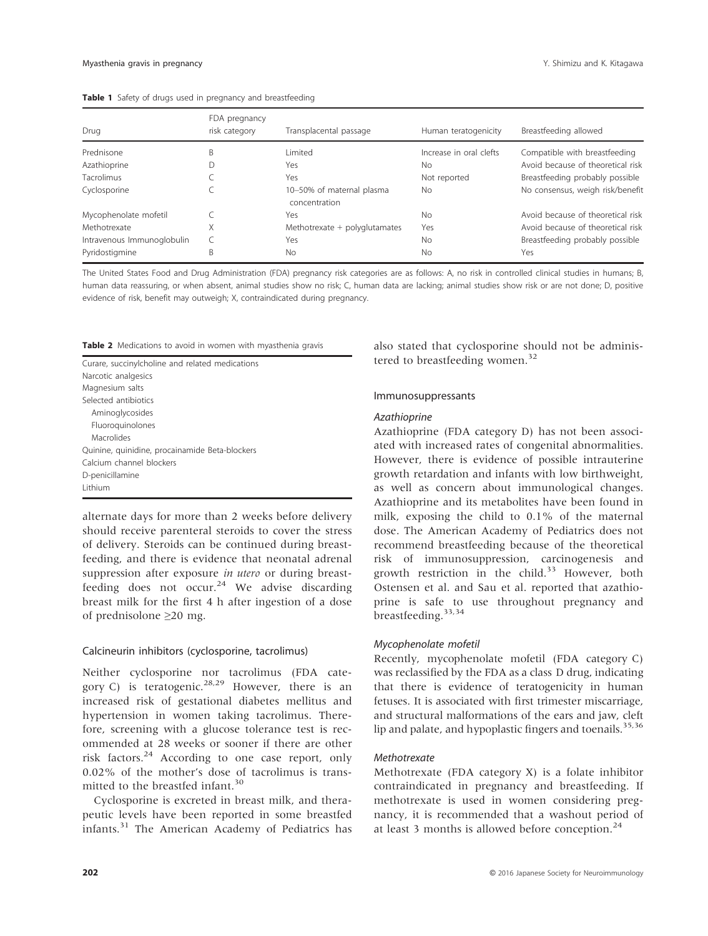| Drug                       | FDA pregnancy<br>risk category | Transplacental passage                     | Human teratogenicity    | Breastfeeding allowed             |
|----------------------------|--------------------------------|--------------------------------------------|-------------------------|-----------------------------------|
| Prednisone                 | B                              | Limited                                    | Increase in oral clefts | Compatible with breastfeeding     |
| Azathioprine               |                                | Yes                                        | No                      | Avoid because of theoretical risk |
| <b>Tacrolimus</b>          |                                | Yes                                        | Not reported            | Breastfeeding probably possible   |
| Cyclosporine               |                                | 10-50% of maternal plasma<br>concentration | <b>No</b>               | No consensus, weigh risk/benefit  |
| Mycophenolate mofetil      |                                | Yes                                        | No                      | Avoid because of theoretical risk |
| Methotrexate               | Х                              | Methotrexate $+$ polyglutamates            | Yes                     | Avoid because of theoretical risk |
| Intravenous Immunoglobulin |                                | Yes                                        | <b>No</b>               | Breastfeeding probably possible   |
| Pyridostigmine             | B                              | <b>No</b>                                  | <b>No</b>               | Yes                               |

|  |  |  |  |  |  |  |  |  | Table 1 Safety of drugs used in pregnancy and breastfeeding |
|--|--|--|--|--|--|--|--|--|-------------------------------------------------------------|
|--|--|--|--|--|--|--|--|--|-------------------------------------------------------------|

The United States Food and Drug Administration (FDA) pregnancy risk categories are as follows: A, no risk in controlled clinical studies in humans; B, human data reassuring, or when absent, animal studies show no risk; C, human data are lacking; animal studies show risk or are not done; D, positive evidence of risk, benefit may outweigh; X, contraindicated during pregnancy.

|  |  | Table 2 Medications to avoid in women with myasthenia gravis |  |  |  |  |  |  |  |
|--|--|--------------------------------------------------------------|--|--|--|--|--|--|--|
|--|--|--------------------------------------------------------------|--|--|--|--|--|--|--|

| Curare, succinylcholine and related medications |
|-------------------------------------------------|
| Narcotic analgesics                             |
| Magnesium salts                                 |
| Selected antibiotics                            |
| Aminoglycosides                                 |
| Fluoroguinolones                                |
| Macrolides                                      |
| Quinine, quinidine, procainamide Beta-blockers  |
| Calcium channel blockers                        |
| D-penicillamine                                 |
| Lithium                                         |

alternate days for more than 2 weeks before delivery should receive parenteral steroids to cover the stress of delivery. Steroids can be continued during breastfeeding, and there is evidence that neonatal adrenal suppression after exposure *in utero* or during breastfeeding does not occur.<sup>24</sup> We advise discarding breast milk for the first 4 h after ingestion of a dose of prednisolone ≥20 mg.

#### Calcineurin inhibitors (cyclosporine, tacrolimus)

Neither cyclosporine nor tacrolimus (FDA category C) is teratogenic.<sup>28,29</sup> However, there is an increased risk of gestational diabetes mellitus and hypertension in women taking tacrolimus. Therefore, screening with a glucose tolerance test is recommended at 28 weeks or sooner if there are other risk factors.<sup>24</sup> According to one case report, only 0.02% of the mother's dose of tacrolimus is transmitted to the breastfed infant.<sup>30</sup>

Cyclosporine is excreted in breast milk, and therapeutic levels have been reported in some breastfed infants.<sup>31</sup> The American Academy of Pediatrics has also stated that cyclosporine should not be administered to breastfeeding women.<sup>32</sup>

#### Immunosuppressants

#### Azathioprine

Azathioprine (FDA category D) has not been associated with increased rates of congenital abnormalities. However, there is evidence of possible intrauterine growth retardation and infants with low birthweight, as well as concern about immunological changes. Azathioprine and its metabolites have been found in milk, exposing the child to 0.1% of the maternal dose. The American Academy of Pediatrics does not recommend breastfeeding because of the theoretical risk of immunosuppression, carcinogenesis and growth restriction in the child. $33$  However, both Ostensen et al. and Sau et al. reported that azathioprine is safe to use throughout pregnancy and breastfeeding.33,34

#### Mycophenolate mofetil

Recently, mycophenolate mofetil (FDA category C) was reclassified by the FDA as a class D drug, indicating that there is evidence of teratogenicity in human fetuses. It is associated with first trimester miscarriage, and structural malformations of the ears and jaw, cleft lip and palate, and hypoplastic fingers and toenails.<sup>35,36</sup>

#### Methotrexate

Methotrexate (FDA category X) is a folate inhibitor contraindicated in pregnancy and breastfeeding. If methotrexate is used in women considering pregnancy, it is recommended that a washout period of at least 3 months is allowed before conception.<sup>24</sup>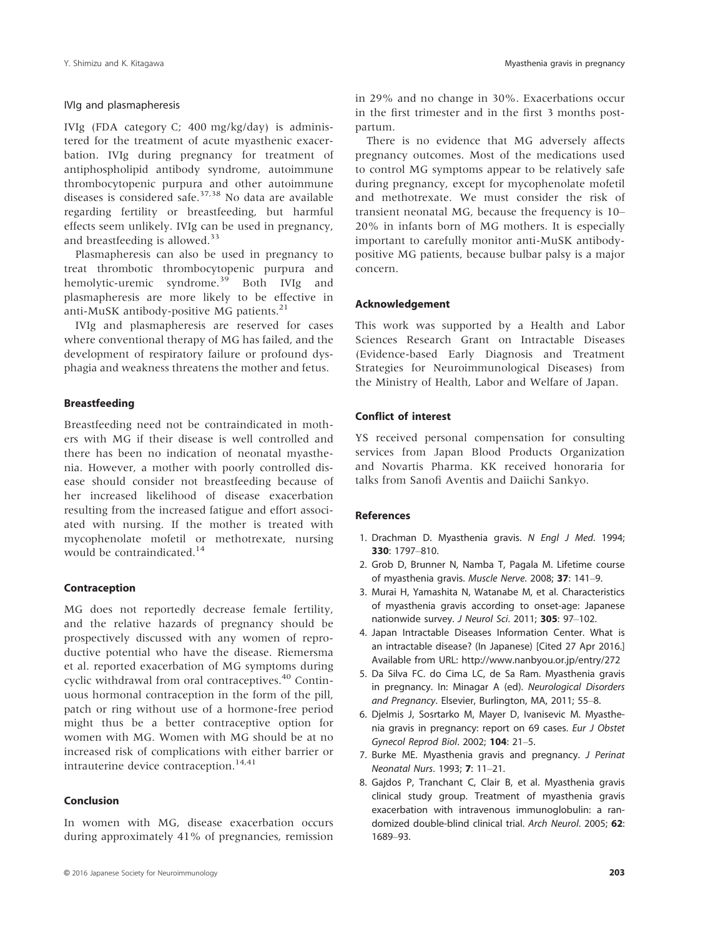## IVIg and plasmapheresis

IVIg (FDA category C; 400 mg/kg/day) is administered for the treatment of acute myasthenic exacerbation. IVIg during pregnancy for treatment of antiphospholipid antibody syndrome, autoimmune thrombocytopenic purpura and other autoimmune diseases is considered safe. $37,38$  No data are available regarding fertility or breastfeeding, but harmful effects seem unlikely. IVIg can be used in pregnancy, and breastfeeding is allowed.<sup>33</sup>

Plasmapheresis can also be used in pregnancy to treat thrombotic thrombocytopenic purpura and hemolytic-uremic syndrome.<sup>39</sup> Both IVIg and plasmapheresis are more likely to be effective in anti-MuSK antibody-positive MG patients.<sup>21</sup>

IVIg and plasmapheresis are reserved for cases where conventional therapy of MG has failed, and the development of respiratory failure or profound dysphagia and weakness threatens the mother and fetus.

## Breastfeeding

Breastfeeding need not be contraindicated in mothers with MG if their disease is well controlled and there has been no indication of neonatal myasthenia. However, a mother with poorly controlled disease should consider not breastfeeding because of her increased likelihood of disease exacerbation resulting from the increased fatigue and effort associated with nursing. If the mother is treated with mycophenolate mofetil or methotrexate, nursing would be contraindicated.<sup>14</sup>

## Contraception

MG does not reportedly decrease female fertility, and the relative hazards of pregnancy should be prospectively discussed with any women of reproductive potential who have the disease. Riemersma et al. reported exacerbation of MG symptoms during cyclic withdrawal from oral contraceptives.<sup>40</sup> Continuous hormonal contraception in the form of the pill, patch or ring without use of a hormone-free period might thus be a better contraceptive option for women with MG. Women with MG should be at no increased risk of complications with either barrier or intrauterine device contraception.<sup>14,41</sup>

## Conclusion

In women with MG, disease exacerbation occurs during approximately 41% of pregnancies, remission in 29% and no change in 30%. Exacerbations occur in the first trimester and in the first 3 months postpartum.

There is no evidence that MG adversely affects pregnancy outcomes. Most of the medications used to control MG symptoms appear to be relatively safe during pregnancy, except for mycophenolate mofetil and methotrexate. We must consider the risk of transient neonatal MG, because the frequency is 10– 20% in infants born of MG mothers. It is especially important to carefully monitor anti-MuSK antibodypositive MG patients, because bulbar palsy is a major concern.

#### Acknowledgement

This work was supported by a Health and Labor Sciences Research Grant on Intractable Diseases (Evidence-based Early Diagnosis and Treatment Strategies for Neuroimmunological Diseases) from the Ministry of Health, Labor and Welfare of Japan.

#### Conflict of interest

YS received personal compensation for consulting services from Japan Blood Products Organization and Novartis Pharma. KK received honoraria for talks from Sanofi Aventis and Daiichi Sankyo.

#### References

- 1. Drachman D. Myasthenia gravis. N Engl J Med. 1994; 330: 1797–810.
- 2. Grob D, Brunner N, Namba T, Pagala M. Lifetime course of myasthenia gravis. Muscle Nerve. 2008; 37: 141–9.
- 3. Murai H, Yamashita N, Watanabe M, et al. Characteristics of myasthenia gravis according to onset-age: Japanese nationwide survey. J Neurol Sci. 2011; 305: 97–102.
- 4. Japan Intractable Diseases Information Center. What is an intractable disease? (In Japanese) [Cited 27 Apr 2016.] Available from URL:<http://www.nanbyou.or.jp/entry/272>
- 5. Da Silva FC. do Cima LC, de Sa Ram. Myasthenia gravis in pregnancy. In: Minagar A (ed). Neurological Disorders and Pregnancy. Elsevier, Burlington, MA, 2011; 55–8.
- 6. Djelmis J, Sosrtarko M, Mayer D, Ivanisevic M. Myasthenia gravis in pregnancy: report on 69 cases. Eur J Obstet Gynecol Reprod Biol. 2002; 104: 21–5.
- 7. Burke ME. Myasthenia gravis and pregnancy. J Perinat Neonatal Nurs. 1993; 7: 11–21.
- 8. Gajdos P, Tranchant C, Clair B, et al. Myasthenia gravis clinical study group. Treatment of myasthenia gravis exacerbation with intravenous immunoglobulin: a randomized double-blind clinical trial. Arch Neurol. 2005; 62: 1689–93.